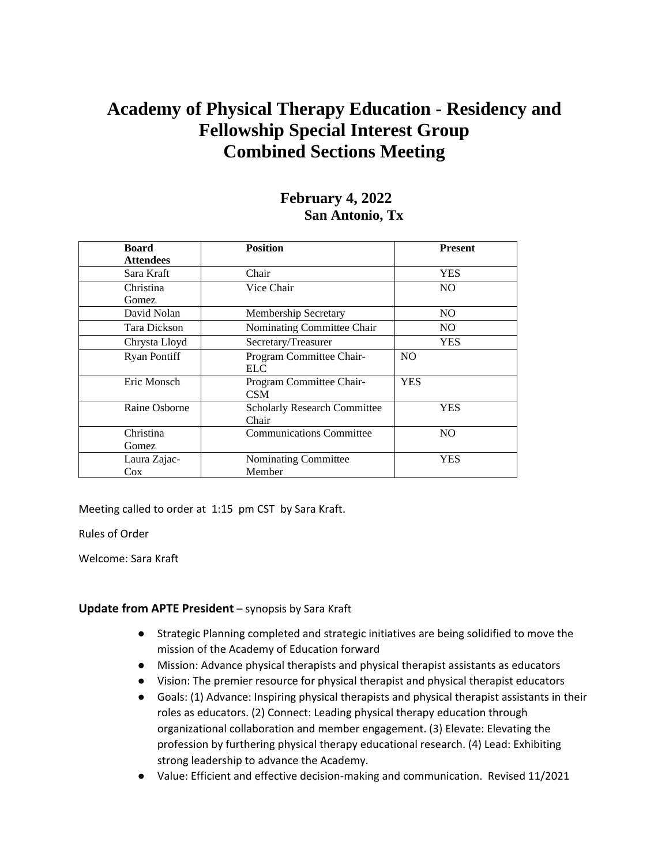# **Academy of Physical Therapy Education - Residency and Fellowship Special Interest Group Combined Sections Meeting**

## **February 4, 2022 San Antonio, Tx**

| <b>Board</b>        | <b>Position</b>                     | <b>Present</b> |
|---------------------|-------------------------------------|----------------|
| <b>Attendees</b>    |                                     |                |
| Sara Kraft          | Chair                               | <b>YES</b>     |
| Christina           | Vice Chair                          | NO.            |
| Gomez               |                                     |                |
| David Nolan         | Membership Secretary                | NO.            |
| Tara Dickson        | Nominating Committee Chair          | NO.            |
| Chrysta Lloyd       | Secretary/Treasurer                 | <b>YES</b>     |
| <b>Ryan Pontiff</b> | Program Committee Chair-            | N <sub>O</sub> |
|                     | <b>ELC</b>                          |                |
| Eric Monsch         | Program Committee Chair-            | <b>YES</b>     |
|                     | <b>CSM</b>                          |                |
| Raine Osborne       | <b>Scholarly Research Committee</b> | YES            |
|                     | Chair                               |                |
| Christina           | <b>Communications Committee</b>     | N <sub>O</sub> |
| Gomez               |                                     |                |
| Laura Zajac-        | Nominating Committee                | YES            |
| Cox                 | Member                              |                |

Meeting called to order at 1:15 pm CST by Sara Kraft.

Rules of Order

Welcome: Sara Kraft

### **Update from APTE President** – synopsis by Sara Kraft

- Strategic Planning completed and strategic initiatives are being solidified to move the mission of the Academy of Education forward
- Mission: Advance physical therapists and physical therapist assistants as educators
- Vision: The premier resource for physical therapist and physical therapist educators
- Goals: (1) Advance: Inspiring physical therapists and physical therapist assistants in their roles as educators. (2) Connect: Leading physical therapy education through organizational collaboration and member engagement. (3) Elevate: Elevating the profession by furthering physical therapy educational research. (4) Lead: Exhibiting strong leadership to advance the Academy.
- Value: Efficient and effective decision-making and communication. Revised 11/2021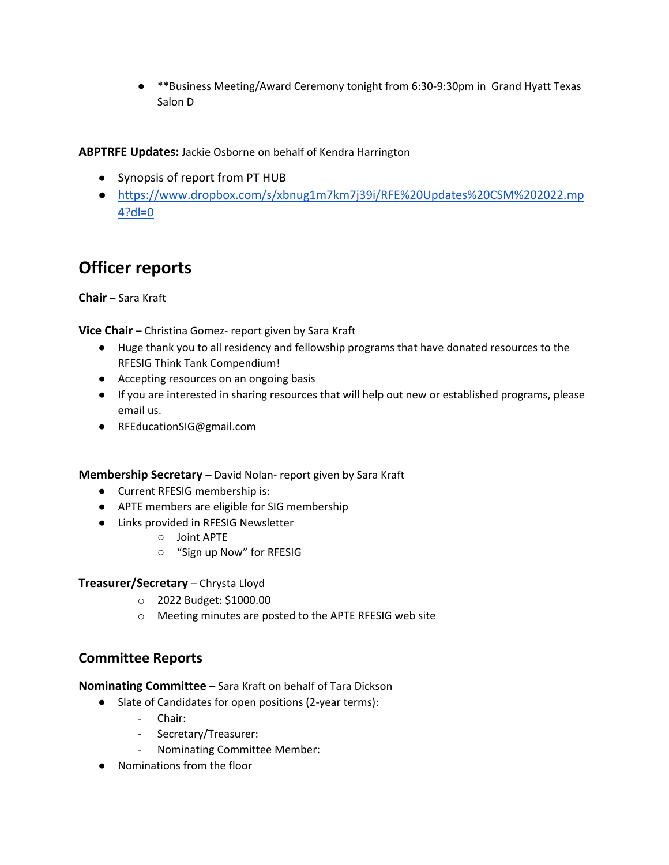● \*\*Business Meeting/Award Ceremony tonight from 6:30-9:30pm in Grand Hyatt Texas Salon D

**ABPTRFE Updates:** Jackie Osborne on behalf of Kendra Harrington

- Synopsis of report from PT HUB
- [https://www.dropbox.com/s/xbnug1m7km7j39i/RFE%20Updates%20CSM%202022.mp](https://www.dropbox.com/s/xbnug1m7km7j39i/RFE%20Updates%20CSM%202022.mp4?dl=0) [4?dl=0](https://www.dropbox.com/s/xbnug1m7km7j39i/RFE%20Updates%20CSM%202022.mp4?dl=0)

# **Officer reports**

**Chair** – Sara Kraft

**Vice Chair** – Christina Gomez- report given by Sara Kraft

- Huge thank you to all residency and fellowship programs that have donated resources to the RFESIG Think Tank Compendium!
- Accepting resources on an ongoing basis
- If you are interested in sharing resources that will help out new or established programs, please email us.
- RFEducationSIG@gmail.com

**Membership Secretary** – David Nolan- report given by Sara Kraft

- Current RFESIG membership is:
- APTE members are eligible for SIG membership
- Links provided in RFESIG Newsletter
	- Joint APTE
	- "Sign up Now" for RFESIG

### **Treasurer/Secretary** – Chrysta Lloyd

- o 2022 Budget: \$1000.00
- o Meeting minutes are posted to the APTE RFESIG web site

## **Committee Reports**

**Nominating Committee** – Sara Kraft on behalf of Tara Dickson

- Slate of Candidates for open positions (2-year terms):
	- Chair:
	- Secretary/Treasurer:
	- Nominating Committee Member:
- Nominations from the floor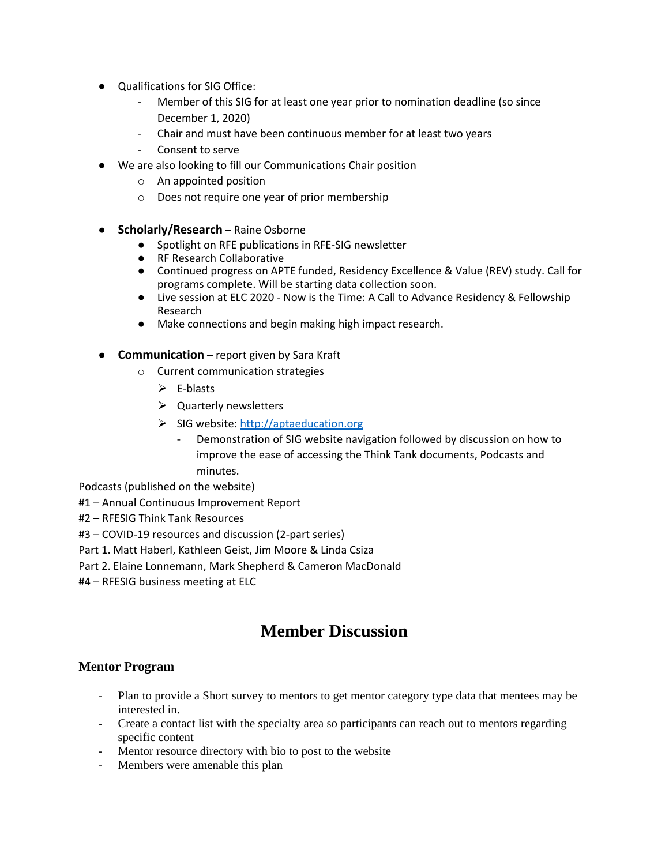- Qualifications for SIG Office:
	- Member of this SIG for at least one year prior to nomination deadline (so since December 1, 2020)
	- Chair and must have been continuous member for at least two years
	- Consent to serve
- We are also looking to fill our Communications Chair position
	- o An appointed position
	- o Does not require one year of prior membership
- **Scholarly/Research** Raine Osborne
	- Spotlight on RFE publications in RFE-SIG newsletter
	- RF Research Collaborative
	- Continued progress on APTE funded, Residency Excellence & Value (REV) study. Call for programs complete. Will be starting data collection soon.
	- Live session at ELC 2020 Now is the Time: A Call to Advance Residency & Fellowship Research
	- Make connections and begin making high impact research.
- **Communication** report given by Sara Kraft
	- o Current communication strategies
		- $\triangleright$  E-blasts
		- $\triangleright$  Quarterly newsletters
		- $\triangleright$  SIG website: [http://aptaeducation.org](http://aptaeducation.org/)
			- Demonstration of SIG website navigation followed by discussion on how to improve the ease of accessing the Think Tank documents, Podcasts and minutes.

Podcasts (published on the website)

- #1 Annual Continuous Improvement Report
- #2 RFESIG Think Tank Resources
- #3 COVID-19 resources and discussion (2-part series)
- Part 1. Matt Haberl, Kathleen Geist, Jim Moore & Linda Csiza
- Part 2. Elaine Lonnemann, Mark Shepherd & Cameron MacDonald
- #4 RFESIG business meeting at ELC

# **Member Discussion**

### **Mentor Program**

- Plan to provide a Short survey to mentors to get mentor category type data that mentees may be interested in.
- Create a contact list with the specialty area so participants can reach out to mentors regarding specific content
- Mentor resource directory with bio to post to the website
- Members were amenable this plan